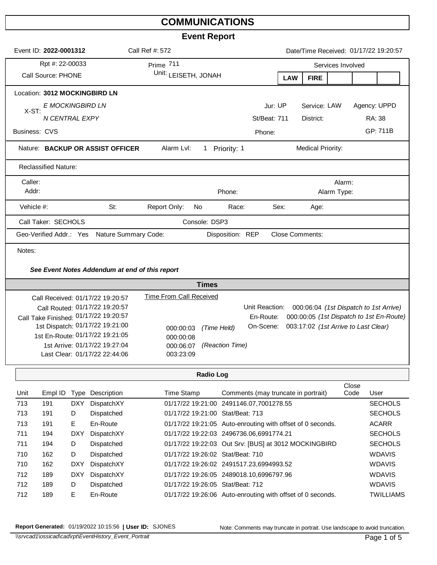## **COMMUNICATIONS**

## **Event Report**

| Event Report |                                                                                               |           |                                       |                  |                |                   |                          |             |                                        |                                          |
|--------------|-----------------------------------------------------------------------------------------------|-----------|---------------------------------------|------------------|----------------|-------------------|--------------------------|-------------|----------------------------------------|------------------------------------------|
|              | Event ID: 2022-0001312                                                                        |           | Date/Time Received: 01/17/22 19:20:57 |                  |                |                   |                          |             |                                        |                                          |
|              | Rpt #: 22-00033                                                                               | Prime 711 |                                       |                  |                | Services Involved |                          |             |                                        |                                          |
|              | Call Source: PHONE                                                                            |           | Unit: LEISETH, JONAH                  |                  |                | <b>LAW</b>        | <b>FIRE</b>              |             |                                        |                                          |
|              | Location: 3012 MOCKINGBIRD LN                                                                 |           |                                       |                  |                |                   |                          |             |                                        |                                          |
|              | E MOCKINGBIRD LN<br>X-ST:                                                                     |           |                                       |                  | Jur: UP        |                   | Service: LAW             |             | Agency: UPPD                           |                                          |
|              | N CENTRAL EXPY                                                                                |           |                                       |                  | St/Beat: 711   |                   | District:                |             | RA: 38                                 |                                          |
|              | <b>Business: CVS</b>                                                                          |           |                                       |                  | Phone:         |                   |                          |             |                                        | GP: 711B                                 |
|              | Nature: BACKUP OR ASSIST OFFICER                                                              |           | Alarm Lvl:                            | Priority: 1<br>1 |                |                   | <b>Medical Priority:</b> |             |                                        |                                          |
|              | <b>Reclassified Nature:</b>                                                                   |           |                                       |                  |                |                   |                          |             |                                        |                                          |
|              | Caller:                                                                                       |           |                                       |                  |                |                   |                          | Alarm:      |                                        |                                          |
|              | Addr:                                                                                         |           |                                       | Phone:           |                |                   |                          | Alarm Type: |                                        |                                          |
|              | Vehicle #:                                                                                    | St:       | Report Only:                          | No<br>Race:      |                | Sex:              | Age:                     |             |                                        |                                          |
|              | Call Taker: SECHOLS                                                                           |           |                                       | Console: DSP3    |                |                   |                          |             |                                        |                                          |
|              | Disposition: REP<br><b>Close Comments:</b><br>Geo-Verified Addr.: Yes<br>Nature Summary Code: |           |                                       |                  |                |                   |                          |             |                                        |                                          |
|              | Notes:                                                                                        |           |                                       |                  |                |                   |                          |             |                                        |                                          |
|              | See Event Notes Addendum at end of this report                                                |           |                                       |                  |                |                   |                          |             |                                        |                                          |
|              | <b>Times</b>                                                                                  |           |                                       |                  |                |                   |                          |             |                                        |                                          |
|              | Call Received: 01/17/22 19:20:57                                                              |           | <b>Time From Call Received</b>        |                  |                |                   |                          |             |                                        |                                          |
|              | Call Routed: 01/17/22 19:20:57                                                                |           |                                       |                  | Unit Reaction: |                   |                          |             | 000:06:04 (1st Dispatch to 1st Arrive) |                                          |
|              | Call Take Finished: 01/17/22 19:20:57                                                         |           |                                       |                  | En-Route:      |                   |                          |             |                                        | 000:00:05 (1st Dispatch to 1st En-Route) |
|              | 1st Dispatch: 01/17/22 19:21:00                                                               |           | 000:00:03                             | (Time Held)      | On-Scene:      |                   |                          |             | 003:17:02 (1st Arrive to Last Clear)   |                                          |
|              | 1st En-Route: 01/17/22 19:21:05                                                               |           | 000:00:08                             |                  |                |                   |                          |             |                                        |                                          |
|              | 1st Arrive: 01/17/22 19:27:04                                                                 |           | 000:06:07                             | (Reaction Time)  |                |                   |                          |             |                                        |                                          |
|              | Last Clear: 01/17/22 22:44:06                                                                 |           | 003:23:09                             |                  |                |                   |                          |             |                                        |                                          |
|              |                                                                                               |           |                                       | <b>Radio Log</b> |                |                   |                          |             |                                        |                                          |

| Unit | Empl ID | Type       | Description | Time Stamp                       | Comments (may truncate in portrait)                        | Close<br>Code | User             |
|------|---------|------------|-------------|----------------------------------|------------------------------------------------------------|---------------|------------------|
| 713  | 191     | <b>DXY</b> | DispatchXY  |                                  | 01/17/22 19:21:00 2491146.07.7001278.55                    |               | <b>SECHOLS</b>   |
| 713  | 191     | D          | Dispatched  | 01/17/22 19:21:00 Stat/Beat: 713 |                                                            |               | <b>SECHOLS</b>   |
| 713  | 191     | E.         | En-Route    |                                  | 01/17/22 19:21:05 Auto-enrouting with offset of 0 seconds. |               | <b>ACARR</b>     |
| 711  | 194     | <b>DXY</b> | DispatchXY  |                                  | 01/17/22 19:22:03 2496736.06,6991774.21                    |               | <b>SECHOLS</b>   |
| 711  | 194     | D          | Dispatched  |                                  | 01/17/22 19:22:03 Out Srv: [BUS] at 3012 MOCKINGBIRD       |               | <b>SECHOLS</b>   |
| 710  | 162     | D          | Dispatched  | 01/17/22 19:26:02 Stat/Beat: 710 |                                                            |               | <b>WDAVIS</b>    |
| 710  | 162     | <b>DXY</b> | DispatchXY  |                                  | 01/17/22 19:26:02 2491517.23,6994993.52                    |               | <b>WDAVIS</b>    |
| 712  | 189     | <b>DXY</b> | DispatchXY  |                                  | 01/17/22 19:26:05 2489018.10.6996797.96                    |               | <b>WDAVIS</b>    |
| 712  | 189     | D          | Dispatched  | 01/17/22 19:26:05 Stat/Beat: 712 |                                                            |               | <b>WDAVIS</b>    |
| 712  | 189     | E.         | En-Route    |                                  | 01/17/22 19:26:06 Auto-enrouting with offset of 0 seconds. |               | <b>TWILLIAMS</b> |

**Report Generated:** 01/19/2022 10:15:56 **| User ID:** SJONES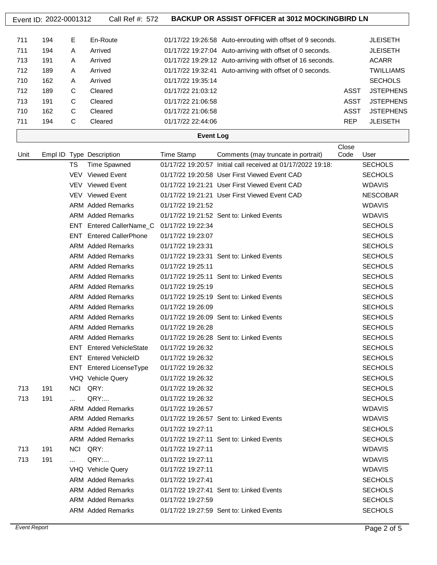|      | Event ID: 2022-0001312 |             | Call Ref #: 572                 |                   | <b>BACKUP OR ASSIST OFFICER at 3012 MOCKINGBIRD LN</b>       |             |                  |
|------|------------------------|-------------|---------------------------------|-------------------|--------------------------------------------------------------|-------------|------------------|
|      |                        |             |                                 |                   |                                                              |             |                  |
| 711  | 194                    | Е           | En-Route                        |                   | 01/17/22 19:26:58 Auto-enrouting with offset of 9 seconds.   |             | <b>JLEISETH</b>  |
| 711  | 194                    | A           | Arrived                         |                   | 01/17/22 19:27:04 Auto-arriving with offset of 0 seconds.    |             | <b>JLEISETH</b>  |
| 713  | 191                    | A           | Arrived                         |                   | 01/17/22 19:29:12 Auto-arriving with offset of 16 seconds.   |             | <b>ACARR</b>     |
| 712  | 189                    | A           | Arrived                         |                   | 01/17/22 19:32:41 Auto-arriving with offset of 0 seconds.    |             | <b>TWILLIAMS</b> |
| 710  | 162                    | A           | Arrived                         | 01/17/22 19:35:14 |                                                              |             | <b>SECHOLS</b>   |
| 712  | 189                    | C           | Cleared                         | 01/17/22 21:03:12 |                                                              | <b>ASST</b> | <b>JSTEPHENS</b> |
| 713  | 191                    | C           | Cleared                         | 01/17/22 21:06:58 |                                                              | <b>ASST</b> | <b>JSTEPHENS</b> |
| 710  | 162                    | C           | Cleared                         | 01/17/22 21:06:58 |                                                              | <b>ASST</b> | <b>JSTEPHENS</b> |
| 711  | 194                    | $\mathsf C$ | Cleared                         | 01/17/22 22:44:06 |                                                              | <b>REP</b>  | <b>JLEISETH</b>  |
|      |                        |             |                                 | <b>Event Log</b>  |                                                              |             |                  |
|      |                        |             |                                 |                   |                                                              | Close       |                  |
| Unit |                        |             | Empl ID Type Description        | <b>Time Stamp</b> | Comments (may truncate in portrait)                          | Code        | User             |
|      |                        | TS          | <b>Time Spawned</b>             |                   | 01/17/22 19:20:57 Initial call received at 01/17/2022 19:18: |             | <b>SECHOLS</b>   |
|      |                        |             | VEV Viewed Event                |                   | 01/17/22 19:20:58 User First Viewed Event CAD                |             | <b>SECHOLS</b>   |
|      |                        |             | VEV Viewed Event                |                   | 01/17/22 19:21:21 User First Viewed Event CAD                |             | <b>WDAVIS</b>    |
|      |                        |             | VEV Viewed Event                |                   | 01/17/22 19:21:21 User First Viewed Event CAD                |             | <b>NESCOBAR</b>  |
|      |                        |             | <b>ARM</b> Added Remarks        | 01/17/22 19:21:52 |                                                              |             | <b>WDAVIS</b>    |
|      |                        |             | <b>ARM</b> Added Remarks        |                   | 01/17/22 19:21:52 Sent to: Linked Events                     |             | <b>WDAVIS</b>    |
|      |                        |             | ENT Entered CallerName_C        | 01/17/22 19:22:34 |                                                              |             | <b>SECHOLS</b>   |
|      |                        |             | <b>ENT</b> Entered CallerPhone  | 01/17/22 19:23:07 |                                                              |             | <b>SECHOLS</b>   |
|      |                        |             | <b>ARM</b> Added Remarks        | 01/17/22 19:23:31 |                                                              |             | <b>SECHOLS</b>   |
|      |                        |             | <b>ARM</b> Added Remarks        |                   | 01/17/22 19:23:31 Sent to: Linked Events                     |             | <b>SECHOLS</b>   |
|      |                        |             | <b>ARM</b> Added Remarks        | 01/17/22 19:25:11 |                                                              |             | <b>SECHOLS</b>   |
|      |                        |             | <b>ARM</b> Added Remarks        |                   | 01/17/22 19:25:11 Sent to: Linked Events                     |             | <b>SECHOLS</b>   |
|      |                        |             | <b>ARM</b> Added Remarks        | 01/17/22 19:25:19 |                                                              |             | <b>SECHOLS</b>   |
|      |                        |             | <b>ARM</b> Added Remarks        |                   | 01/17/22 19:25:19 Sent to: Linked Events                     |             | <b>SECHOLS</b>   |
|      |                        |             | <b>ARM</b> Added Remarks        | 01/17/22 19:26:09 |                                                              |             | <b>SECHOLS</b>   |
|      |                        |             | <b>ARM</b> Added Remarks        |                   | 01/17/22 19:26:09 Sent to: Linked Events                     |             | <b>SECHOLS</b>   |
|      |                        |             | <b>ARM</b> Added Remarks        | 01/17/22 19:26:28 |                                                              |             | <b>SECHOLS</b>   |
|      |                        |             | <b>ARM</b> Added Remarks        |                   | 01/17/22 19:26:28 Sent to: Linked Events                     |             | <b>SECHOLS</b>   |
|      |                        |             | <b>ENT</b> Entered VehicleState | 01/17/22 19:26:32 |                                                              |             | <b>SECHOLS</b>   |
|      |                        |             | <b>ENT</b> Entered VehicleID    | 01/17/22 19:26:32 |                                                              |             | <b>SECHOLS</b>   |
|      |                        |             | <b>ENT</b> Entered LicenseType  | 01/17/22 19:26:32 |                                                              |             | <b>SECHOLS</b>   |
|      |                        |             | VHQ Vehicle Query               | 01/17/22 19:26:32 |                                                              |             | <b>SECHOLS</b>   |
| 713  | 191                    |             | NCI QRY:                        | 01/17/22 19:26:32 |                                                              |             | <b>SECHOLS</b>   |
| 713  | 191                    |             | QRY:                            | 01/17/22 19:26:32 |                                                              |             | <b>SECHOLS</b>   |
|      |                        |             | <b>ARM</b> Added Remarks        | 01/17/22 19:26:57 |                                                              |             | <b>WDAVIS</b>    |
|      |                        |             | <b>ARM</b> Added Remarks        |                   | 01/17/22 19:26:57 Sent to: Linked Events                     |             | <b>WDAVIS</b>    |
|      |                        |             | <b>ARM</b> Added Remarks        | 01/17/22 19:27:11 |                                                              |             | <b>SECHOLS</b>   |
|      |                        |             | <b>ARM</b> Added Remarks        |                   | 01/17/22 19:27:11 Sent to: Linked Events                     |             | <b>SECHOLS</b>   |
| 713  | 191                    |             | NCI QRY:                        | 01/17/22 19:27:11 |                                                              |             | <b>WDAVIS</b>    |
| 713  | 191                    |             | QRY:                            | 01/17/22 19:27:11 |                                                              |             | <b>WDAVIS</b>    |
|      |                        |             | VHQ Vehicle Query               | 01/17/22 19:27:11 |                                                              |             | <b>WDAVIS</b>    |
|      |                        |             | <b>ARM</b> Added Remarks        | 01/17/22 19:27:41 |                                                              |             | <b>SECHOLS</b>   |
|      |                        |             | <b>ARM</b> Added Remarks        |                   | 01/17/22 19:27:41 Sent to: Linked Events                     |             | <b>SECHOLS</b>   |
|      |                        |             | <b>ARM</b> Added Remarks        | 01/17/22 19:27:59 |                                                              |             | <b>SECHOLS</b>   |
|      |                        |             |                                 |                   |                                                              |             |                  |

ARM Added Remarks 01/17/22 19:27:59 Sent to: Linked Events SECHOLS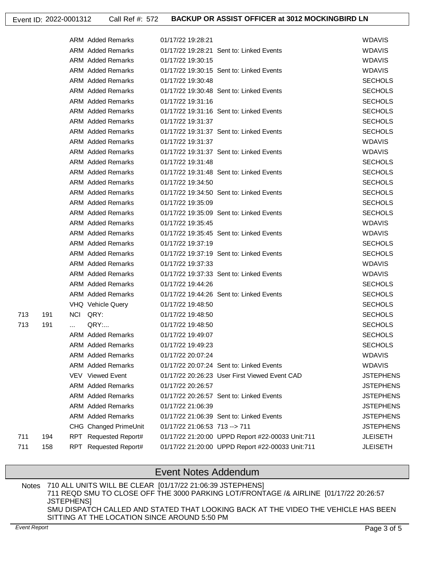|     |     |          | <b>ARM</b> Added Remarks | 01/17/22 19:28:21              |                                                  | <b>WDAVIS</b>    |
|-----|-----|----------|--------------------------|--------------------------------|--------------------------------------------------|------------------|
|     |     |          | ARM Added Remarks        |                                | 01/17/22 19:28:21 Sent to: Linked Events         | <b>WDAVIS</b>    |
|     |     |          | <b>ARM Added Remarks</b> | 01/17/22 19:30:15              |                                                  | <b>WDAVIS</b>    |
|     |     |          | <b>ARM</b> Added Remarks |                                | 01/17/22 19:30:15 Sent to: Linked Events         | <b>WDAVIS</b>    |
|     |     |          | <b>ARM</b> Added Remarks | 01/17/22 19:30:48              |                                                  | <b>SECHOLS</b>   |
|     |     |          | <b>ARM</b> Added Remarks |                                | 01/17/22 19:30:48 Sent to: Linked Events         | <b>SECHOLS</b>   |
|     |     |          | <b>ARM Added Remarks</b> | 01/17/22 19:31:16              |                                                  | <b>SECHOLS</b>   |
|     |     |          | <b>ARM</b> Added Remarks |                                | 01/17/22 19:31:16 Sent to: Linked Events         | <b>SECHOLS</b>   |
|     |     |          | <b>ARM</b> Added Remarks | 01/17/22 19:31:37              |                                                  | <b>SECHOLS</b>   |
|     |     |          | ARM Added Remarks        |                                | 01/17/22 19:31:37 Sent to: Linked Events         | <b>SECHOLS</b>   |
|     |     |          | <b>ARM</b> Added Remarks | 01/17/22 19:31:37              |                                                  | <b>WDAVIS</b>    |
|     |     |          | <b>ARM</b> Added Remarks |                                | 01/17/22 19:31:37 Sent to: Linked Events         | <b>WDAVIS</b>    |
|     |     |          | <b>ARM Added Remarks</b> | 01/17/22 19:31:48              |                                                  | <b>SECHOLS</b>   |
|     |     |          | <b>ARM</b> Added Remarks |                                | 01/17/22 19:31:48 Sent to: Linked Events         | <b>SECHOLS</b>   |
|     |     |          | <b>ARM</b> Added Remarks | 01/17/22 19:34:50              |                                                  | <b>SECHOLS</b>   |
|     |     |          | <b>ARM</b> Added Remarks |                                | 01/17/22 19:34:50 Sent to: Linked Events         | <b>SECHOLS</b>   |
|     |     |          | <b>ARM</b> Added Remarks | 01/17/22 19:35:09              |                                                  | <b>SECHOLS</b>   |
|     |     |          | ARM Added Remarks        |                                | 01/17/22 19:35:09 Sent to: Linked Events         | <b>SECHOLS</b>   |
|     |     |          | <b>ARM</b> Added Remarks | 01/17/22 19:35:45              |                                                  | <b>WDAVIS</b>    |
|     |     |          | <b>ARM</b> Added Remarks |                                | 01/17/22 19:35:45 Sent to: Linked Events         | <b>WDAVIS</b>    |
|     |     |          | <b>ARM</b> Added Remarks | 01/17/22 19:37:19              |                                                  | <b>SECHOLS</b>   |
|     |     |          | <b>ARM</b> Added Remarks |                                | 01/17/22 19:37:19 Sent to: Linked Events         | <b>SECHOLS</b>   |
|     |     |          | <b>ARM Added Remarks</b> | 01/17/22 19:37:33              |                                                  | <b>WDAVIS</b>    |
|     |     |          | <b>ARM</b> Added Remarks |                                | 01/17/22 19:37:33 Sent to: Linked Events         | <b>WDAVIS</b>    |
|     |     |          | <b>ARM</b> Added Remarks | 01/17/22 19:44:26              |                                                  | <b>SECHOLS</b>   |
|     |     |          | ARM Added Remarks        |                                | 01/17/22 19:44:26 Sent to: Linked Events         | <b>SECHOLS</b>   |
|     |     |          | VHQ Vehicle Query        | 01/17/22 19:48:50              |                                                  | <b>SECHOLS</b>   |
| 713 | 191 |          | NCI QRY:                 | 01/17/22 19:48:50              |                                                  | <b>SECHOLS</b>   |
| 713 | 191 | $\cdots$ | QRY:                     | 01/17/22 19:48:50              |                                                  | <b>SECHOLS</b>   |
|     |     |          | <b>ARM</b> Added Remarks | 01/17/22 19:49:07              |                                                  | <b>SECHOLS</b>   |
|     |     |          | <b>ARM</b> Added Remarks | 01/17/22 19:49:23              |                                                  | <b>SECHOLS</b>   |
|     |     |          | <b>ARM Added Remarks</b> | 01/17/22 20:07:24              |                                                  | <b>WDAVIS</b>    |
|     |     |          | <b>ARM Added Remarks</b> |                                | 01/17/22 20:07:24 Sent to: Linked Events         | <b>WDAVIS</b>    |
|     |     |          | <b>VEV</b> Viewed Event  |                                | 01/17/22 20:26:23 User First Viewed Event CAD    | <b>JSTEPHENS</b> |
|     |     |          | <b>ARM</b> Added Remarks | 01/17/22 20:26:57              |                                                  | <b>JSTEPHENS</b> |
|     |     |          | <b>ARM</b> Added Remarks |                                | 01/17/22 20:26:57 Sent to: Linked Events         | <b>JSTEPHENS</b> |
|     |     |          | <b>ARM</b> Added Remarks | 01/17/22 21:06:39              |                                                  | <b>JSTEPHENS</b> |
|     |     |          | <b>ARM</b> Added Remarks |                                | 01/17/22 21:06:39 Sent to: Linked Events         | <b>JSTEPHENS</b> |
|     |     |          | CHG Changed PrimeUnit    | 01/17/22 21:06:53 713 -- > 711 |                                                  | <b>JSTEPHENS</b> |
| 711 | 194 |          | RPT Requested Report#    |                                | 01/17/22 21:20:00 UPPD Report #22-00033 Unit:711 | <b>JLEISETH</b>  |
| 711 | 158 | RPT      | Requested Report#        |                                | 01/17/22 21:20:00 UPPD Report #22-00033 Unit:711 | <b>JLEISETH</b>  |

## Event Notes Addendum

710 ALL UNITS WILL BE CLEAR [01/17/22 21:06:39 JSTEPHENS] 711 REQD SMU TO CLOSE OFF THE 3000 PARKING LOT/FRONTAGE /& AIRLINE [01/17/22 20:26:57 JSTEPHENS] SMU DISPATCH CALLED AND STATED THAT LOOKING BACK AT THE VIDEO THE VEHICLE HAS BEEN SITTING AT THE LOCATION SINCE AROUND 5:50 PM Notes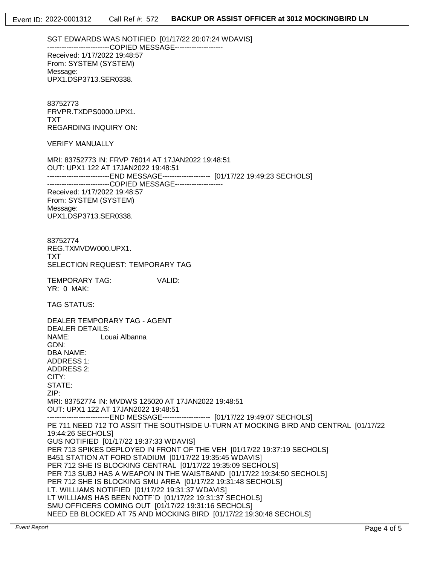SGT EDWARDS WAS NOTIFIED [01/17/22 20:07:24 WDAVIS] --------------------------COPIED MESSAGE-------------------- Received: 1/17/2022 19:48:57 From: SYSTEM (SYSTEM) Message: UPX1.DSP3713.SER0338.

83752773 FRVPR.TXDPS0000.UPX1. TXT REGARDING INQUIRY ON:

VERIFY MANUALLY

MRI: 83752773 IN: FRVP 76014 AT 17JAN2022 19:48:51 OUT: UPX1 122 AT 17JAN2022 19:48:51 --------------------------END MESSAGE-------------------- [01/17/22 19:49:23 SECHOLS] --------------------------COPIED MESSAGE--------------------Received: 1/17/2022 19:48:57 From: SYSTEM (SYSTEM) Message: UPX1.DSP3713.SER0338.

83752774 REG.TXMVDW000.UPX1. TXT SELECTION REQUEST: TEMPORARY TAG

TEMPORARY TAG: VALID: YR: 0 MAK:

TAG STATUS:

DEALER TEMPORARY TAG - AGENT DEALER DETAILS: NAME: Louai Albanna GDN: DBA NAME: ADDRESS 1: ADDRESS 2: CITY: STATE: ZIP: MRI: 83752774 IN: MVDWS 125020 AT 17JAN2022 19:48:51 OUT: UPX1 122 AT 17JAN2022 19:48:51 --------------------------END MESSAGE-------------------- [01/17/22 19:49:07 SECHOLS] PE 711 NEED 712 TO ASSIT THE SOUTHSIDE U-TURN AT MOCKING BIRD AND CENTRAL [01/17/22 19:44:26 SECHOLS] GUS NOTIFIED [01/17/22 19:37:33 WDAVIS] PER 713 SPIKES DEPLOYED IN FRONT OF THE VEH [01/17/22 19:37:19 SECHOLS] B451 STATION AT FORD STADIUM [01/17/22 19:35:45 WDAVIS] PER 712 SHE IS BLOCKING CENTRAL [01/17/22 19:35:09 SECHOLS] PER 713 SUBJ HAS A WEAPON IN THE WAISTBAND [01/17/22 19:34:50 SECHOLS] PER 712 SHE IS BLOCKING SMU AREA [01/17/22 19:31:48 SECHOLS] LT. WILLIAMS NOTIFIED [01/17/22 19:31:37 WDAVIS] LT WILLIAMS HAS BEEN NOTF`D [01/17/22 19:31:37 SECHOLS] SMU OFFICERS COMING OUT [01/17/22 19:31:16 SECHOLS] NEED EB BLOCKED AT 75 AND MOCKING BIRD [01/17/22 19:30:48 SECHOLS]